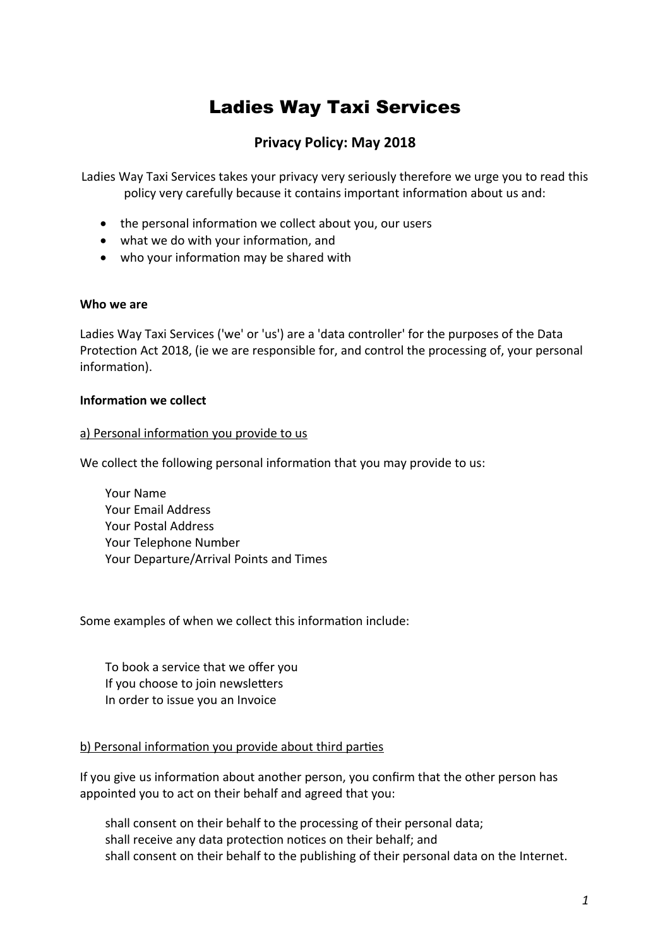# Ladies Way Taxi Services

## **Privacy Policy: May 2018**

Ladies Way Taxi Services takes your privacy very seriously therefore we urge you to read this policy very carefully because it contains important information about us and:

- the personal information we collect about you, our users
- what we do with your information, and
- who your information may be shared with

#### **Who we are**

Ladies Way Taxi Services ('we' or 'us') are a 'data controller' for the purposes of the Data Protection Act 2018, (ie we are responsible for, and control the processing of, your personal information).

#### **Information we collect**

#### a) Personal information you provide to us

We collect the following personal information that you may provide to us:

Your Name Your Email Address Your Postal Address Your Telephone Number Your Departure/Arrival Points and Times

Some examples of when we collect this information include:

To book a service that we offer you If you choose to join newsletters In order to issue you an Invoice

#### b) Personal information you provide about third parties

If you give us information about another person, you confirm that the other person has appointed you to act on their behalf and agreed that you:

shall consent on their behalf to the processing of their personal data; shall receive any data protection notices on their behalf; and shall consent on their behalf to the publishing of their personal data on the Internet.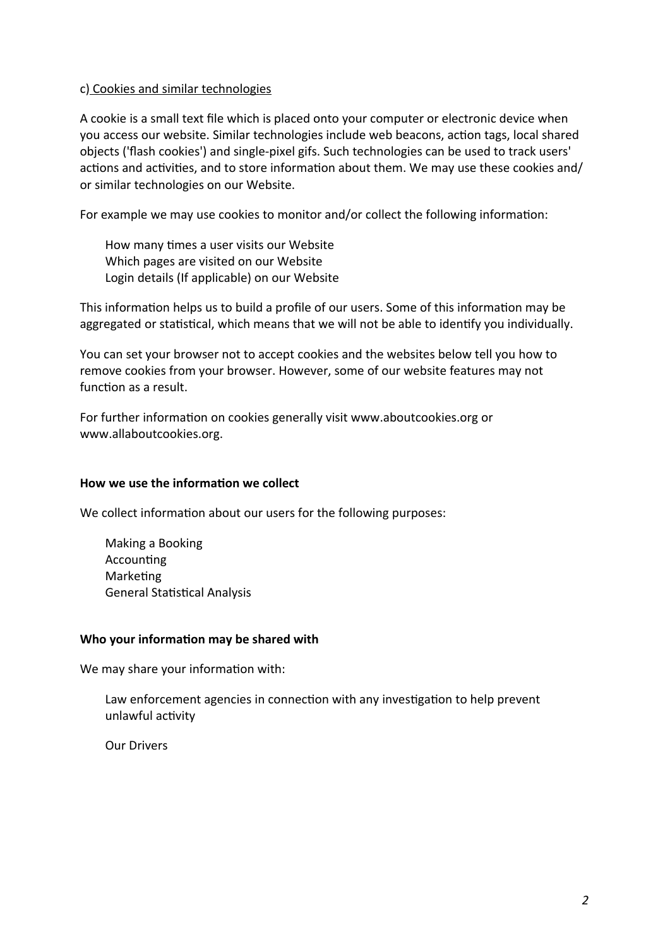#### c) Cookies and similar technologies

A cookie is a small text file which is placed onto your computer or electronic device when you access our website. Similar technologies include web beacons, action tags, local shared objects ('flash cookies') and single-pixel gifs. Such technologies can be used to track users' actions and activities, and to store information about them. We may use these cookies and/ or similar technologies on our Website.

For example we may use cookies to monitor and/or collect the following information:

How many times a user visits our Website Which pages are visited on our Website Login details (If applicable) on our Website

This information helps us to build a profile of our users. Some of this information may be aggregated or statistical, which means that we will not be able to identify you individually.

You can set your browser not to accept cookies and the websites below tell you how to remove cookies from your browser. However, some of our website features may not function as a result.

For further information on cookies generally visit www.aboutcookies.org or www.allaboutcookies.org.

#### **How we use the information we collect**

We collect information about our users for the following purposes:

Making a Booking **Accounting** Marketing General Statistical Analysis

#### **Who your information may be shared with**

We may share your information with:

Law enforcement agencies in connection with any investigation to help prevent unlawful activity

Our Drivers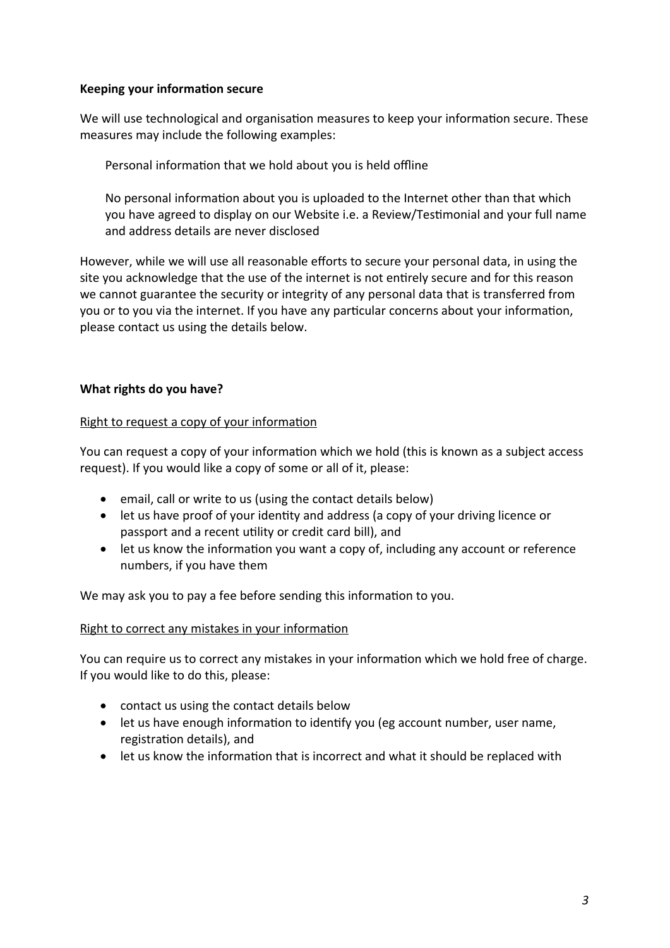### **Keeping your information secure**

We will use technological and organisation measures to keep your information secure. These measures may include the following examples:

Personal information that we hold about you is held offline

No personal information about you is uploaded to the Internet other than that which you have agreed to display on our Website i.e. a Review/Testimonial and your full name and address details are never disclosed

However, while we will use all reasonable efforts to secure your personal data, in using the site you acknowledge that the use of the internet is not entirely secure and for this reason we cannot guarantee the security or integrity of any personal data that is transferred from you or to you via the internet. If you have any particular concerns about your information, please contact us using the details below.

## **What rights do you have?**

## Right to request a copy of your information

You can request a copy of your information which we hold (this is known as a subject access request). If you would like a copy of some or all of it, please:

- email, call or write to us (using the contact details below)
- let us have proof of your identity and address (a copy of your driving licence or passport and a recent utility or credit card bill), and
- let us know the information you want a copy of, including any account or reference numbers, if you have them

We may ask you to pay a fee before sending this information to you.

## Right to correct any mistakes in your information

You can require us to correct any mistakes in your information which we hold free of charge. If you would like to do this, please:

- contact us using the contact details below
- let us have enough information to identify you (eg account number, user name, registration details), and
- let us know the information that is incorrect and what it should be replaced with